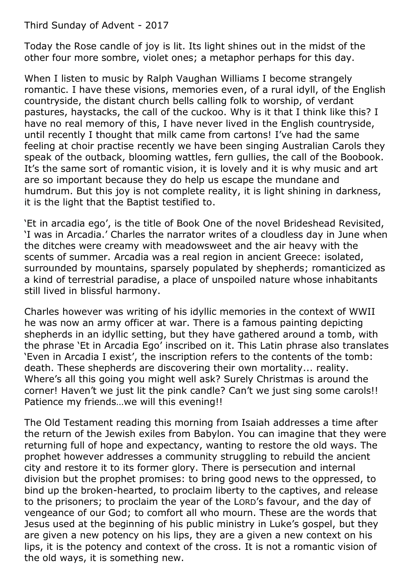Third Sunday of Advent - 2017

Today the Rose candle of joy is lit. Its light shines out in the midst of the other four more sombre, violet ones; a metaphor perhaps for this day.

When I listen to music by Ralph Vaughan Williams I become strangely romantic. I have these visions, memories even, of a rural idyll, of the English countryside, the distant church bells calling folk to worship, of verdant pastures, haystacks, the call of the cuckoo. Why is it that I think like this? I have no real memory of this, I have never lived in the English countryside, until recently I thought that milk came from cartons! I've had the same feeling at choir practise recently we have been singing Australian Carols they speak of the outback, blooming wattles, fern gullies, the call of the Boobook. It's the same sort of romantic vision, it is lovely and it is why music and art are so important because they do help us escape the mundane and humdrum. But this joy is not complete reality, it is light shining in darkness, it is the light that the Baptist testified to.

'Et in arcadia ego', is the title of Book One of the novel Brideshead Revisited, 'I was in Arcadia.' Charles the narrator writes of a cloudless day in June when the ditches were creamy with meadowsweet and the air heavy with the scents of summer. Arcadia was a real region in ancient Greece: isolated, surrounded by mountains, sparsely populated by shepherds; romanticized as a kind of terrestrial paradise, a place of unspoiled nature whose inhabitants still lived in blissful harmony.

Charles however was writing of his idyllic memories in the context of WWII he was now an army officer at war. There is a famous painting depicting shepherds in an idyllic setting, but they have gathered around a tomb, with the phrase 'Et in Arcadia Ego' inscribed on it. This Latin phrase also translates 'Even in Arcadia I exist', the inscription refers to the contents of the tomb: death. These shepherds are discovering their own mortality... reality. Where's all this going you might well ask? Surely Christmas is around the corner! Haven't we just lit the pink candle? Can't we just sing some carols!! Patience my friends…we will this evening!!

The Old Testament reading this morning from Isaiah addresses a time after the return of the Jewish exiles from Babylon. You can imagine that they were returning full of hope and expectancy, wanting to restore the old ways. The prophet however addresses a community struggling to rebuild the ancient city and restore it to its former glory. There is persecution and internal division but the prophet promises: to bring good news to the oppressed, to bind up the broken-hearted, to proclaim liberty to the captives, and release to the prisoners; to proclaim the year of the LORD's favour, and the day of vengeance of our God; to comfort all who mourn. These are the words that Jesus used at the beginning of his public ministry in Luke's gospel, but they are given a new potency on his lips, they are a given a new context on his lips, it is the potency and context of the cross. It is not a romantic vision of the old ways, it is something new.